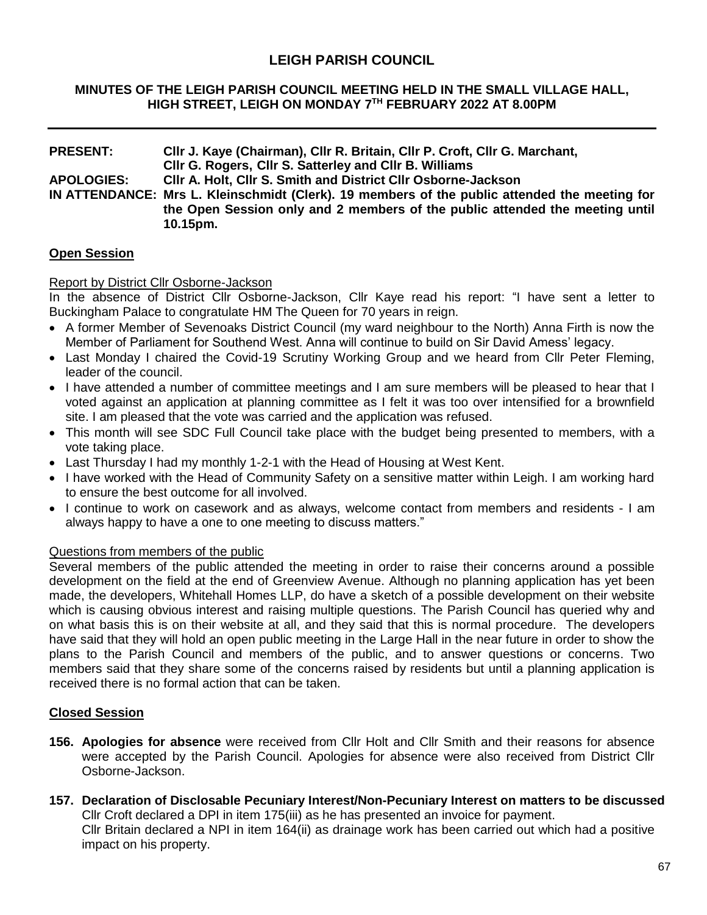# **LEIGH PARISH COUNCIL**

#### **MINUTES OF THE LEIGH PARISH COUNCIL MEETING HELD IN THE SMALL VILLAGE HALL, HIGH STREET, LEIGH ON MONDAY 7 TH FEBRUARY 2022 AT 8.00PM**

#### **PRESENT: Cllr J. Kaye (Chairman), Cllr R. Britain, Cllr P. Croft, Cllr G. Marchant, Cllr G. Rogers, Cllr S. Satterley and Cllr B. Williams APOLOGIES: Cllr A. Holt, Cllr S. Smith and District Cllr Osborne-Jackson IN ATTENDANCE: Mrs L. Kleinschmidt (Clerk). 19 members of the public attended the meeting for the Open Session only and 2 members of the public attended the meeting until 10.15pm.**

#### **Open Session**

#### Report by District Cllr Osborne-Jackson

In the absence of District Cllr Osborne-Jackson, Cllr Kaye read his report: "I have sent a letter to Buckingham Palace to congratulate HM The Queen for 70 years in reign.

- A former Member of Sevenoaks District Council (my ward neighbour to the North) Anna Firth is now the Member of Parliament for Southend West. Anna will continue to build on Sir David Amess' legacy.
- Last Monday I chaired the Covid-19 Scrutiny Working Group and we heard from Cllr Peter Fleming, leader of the council.
- I have attended a number of committee meetings and I am sure members will be pleased to hear that I voted against an application at planning committee as I felt it was too over intensified for a brownfield site. I am pleased that the vote was carried and the application was refused.
- This month will see SDC Full Council take place with the budget being presented to members, with a vote taking place.
- Last Thursday I had my monthly 1-2-1 with the Head of Housing at West Kent.
- I have worked with the Head of Community Safety on a sensitive matter within Leigh. I am working hard to ensure the best outcome for all involved.
- I continue to work on casework and as always, welcome contact from members and residents I am always happy to have a one to one meeting to discuss matters."

#### Questions from members of the public

Several members of the public attended the meeting in order to raise their concerns around a possible development on the field at the end of Greenview Avenue. Although no planning application has yet been made, the developers, Whitehall Homes LLP, do have a sketch of a possible development on their website which is causing obvious interest and raising multiple questions. The Parish Council has queried why and on what basis this is on their website at all, and they said that this is normal procedure. The developers have said that they will hold an open public meeting in the Large Hall in the near future in order to show the plans to the Parish Council and members of the public, and to answer questions or concerns. Two members said that they share some of the concerns raised by residents but until a planning application is received there is no formal action that can be taken.

#### **Closed Session**

- **156. Apologies for absence** were received from Cllr Holt and Cllr Smith and their reasons for absence were accepted by the Parish Council. Apologies for absence were also received from District Cllr Osborne-Jackson.
- **157. Declaration of Disclosable Pecuniary Interest/Non-Pecuniary Interest on matters to be discussed** Cllr Croft declared a DPI in item 175(iii) as he has presented an invoice for payment. Cllr Britain declared a NPI in item 164(ii) as drainage work has been carried out which had a positive impact on his property.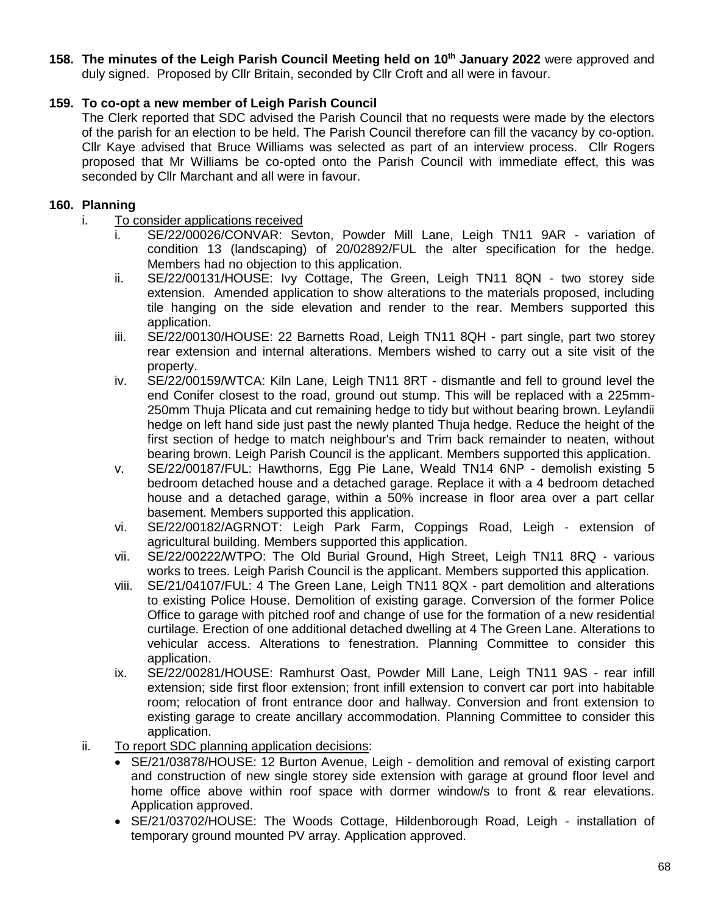# **158. The minutes of the Leigh Parish Council Meeting held on 10th January 2022** were approved and

duly signed. Proposed by Cllr Britain, seconded by Cllr Croft and all were in favour.

# **159. To co-opt a new member of Leigh Parish Council**

The Clerk reported that SDC advised the Parish Council that no requests were made by the electors of the parish for an election to be held. The Parish Council therefore can fill the vacancy by co-option. Cllr Kaye advised that Bruce Williams was selected as part of an interview process. Cllr Rogers proposed that Mr Williams be co-opted onto the Parish Council with immediate effect, this was seconded by Cllr Marchant and all were in favour.

# **160. Planning**

- i. To consider applications received
	- i. SE/22/00026/CONVAR: Sevton, Powder Mill Lane, Leigh TN11 9AR variation of condition 13 (landscaping) of 20/02892/FUL the alter specification for the hedge. Members had no objection to this application.
	- ii. SE/22/00131/HOUSE: Ivy Cottage, The Green, Leigh TN11 8QN two storey side extension. Amended application to show alterations to the materials proposed, including tile hanging on the side elevation and render to the rear. Members supported this application.
	- iii. SE/22/00130/HOUSE: 22 Barnetts Road, Leigh TN11 8QH part single, part two storey rear extension and internal alterations. Members wished to carry out a site visit of the property.
	- iv. SE/22/00159/WTCA: Kiln Lane, Leigh TN11 8RT dismantle and fell to ground level the end Conifer closest to the road, ground out stump. This will be replaced with a 225mm-250mm Thuja Plicata and cut remaining hedge to tidy but without bearing brown. Leylandii hedge on left hand side just past the newly planted Thuja hedge. Reduce the height of the first section of hedge to match neighbour's and Trim back remainder to neaten, without bearing brown. Leigh Parish Council is the applicant. Members supported this application.
	- v. SE/22/00187/FUL: Hawthorns, Egg Pie Lane, Weald TN14 6NP demolish existing 5 bedroom detached house and a detached garage. Replace it with a 4 bedroom detached house and a detached garage, within a 50% increase in floor area over a part cellar basement. Members supported this application.
	- vi. SE/22/00182/AGRNOT: Leigh Park Farm, Coppings Road, Leigh extension of agricultural building. Members supported this application.
	- vii. SE/22/00222/WTPO: The Old Burial Ground, High Street, Leigh TN11 8RQ various works to trees. Leigh Parish Council is the applicant. Members supported this application.
	- viii. SE/21/04107/FUL: 4 The Green Lane, Leigh TN11 8QX part demolition and alterations to existing Police House. Demolition of existing garage. Conversion of the former Police Office to garage with pitched roof and change of use for the formation of a new residential curtilage. Erection of one additional detached dwelling at 4 The Green Lane. Alterations to vehicular access. Alterations to fenestration. Planning Committee to consider this application.
	- ix. SE/22/00281/HOUSE: Ramhurst Oast, Powder Mill Lane, Leigh TN11 9AS rear infill extension; side first floor extension; front infill extension to convert car port into habitable room; relocation of front entrance door and hallway. Conversion and front extension to existing garage to create ancillary accommodation. Planning Committee to consider this application.
- ii. To report SDC planning application decisions:
	- SE/21/03878/HOUSE: 12 Burton Avenue, Leigh demolition and removal of existing carport and construction of new single storey side extension with garage at ground floor level and home office above within roof space with dormer window/s to front & rear elevations. Application approved.
	- SE/21/03702/HOUSE: The Woods Cottage, Hildenborough Road, Leigh installation of temporary ground mounted PV array. Application approved.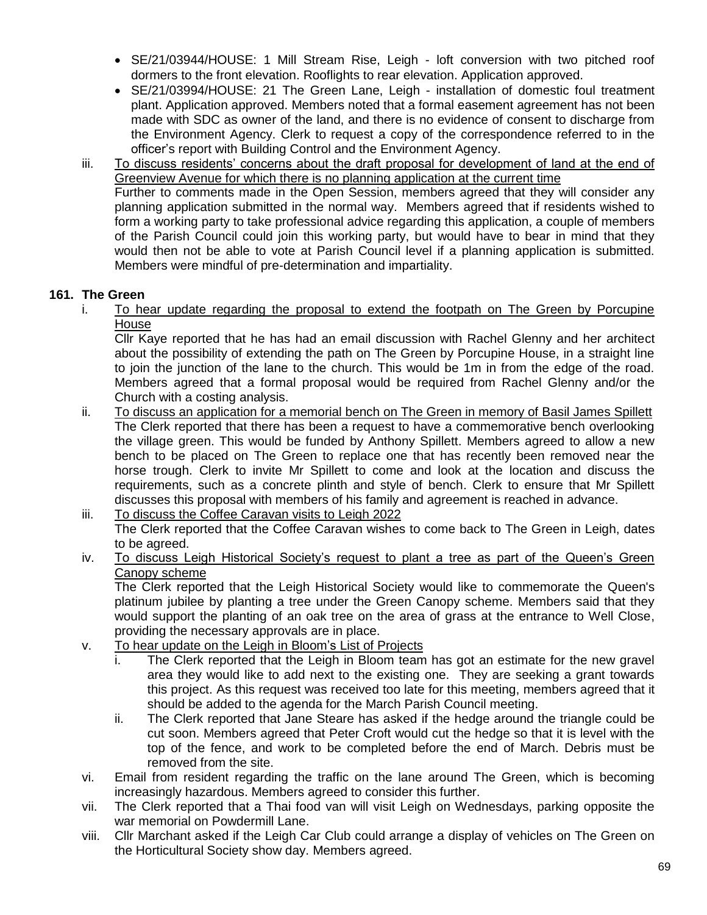- SE/21/03944/HOUSE: 1 Mill Stream Rise, Leigh loft conversion with two pitched roof dormers to the front elevation. Rooflights to rear elevation. Application approved.
- SE/21/03994/HOUSE: 21 The Green Lane, Leigh installation of domestic foul treatment plant. Application approved. Members noted that a formal easement agreement has not been made with SDC as owner of the land, and there is no evidence of consent to discharge from the Environment Agency. Clerk to request a copy of the correspondence referred to in the officer's report with Building Control and the Environment Agency.
- iii. To discuss residents' concerns about the draft proposal for development of land at the end of Greenview Avenue for which there is no planning application at the current time Further to comments made in the Open Session, members agreed that they will consider any planning application submitted in the normal way. Members agreed that if residents wished to form a working party to take professional advice regarding this application, a couple of members of the Parish Council could join this working party, but would have to bear in mind that they would then not be able to vote at Parish Council level if a planning application is submitted. Members were mindful of pre-determination and impartiality.

# **161. The Green**

i. To hear update regarding the proposal to extend the footpath on The Green by Porcupine House

Cllr Kaye reported that he has had an email discussion with Rachel Glenny and her architect about the possibility of extending the path on The Green by Porcupine House, in a straight line to join the junction of the lane to the church. This would be 1m in from the edge of the road. Members agreed that a formal proposal would be required from Rachel Glenny and/or the Church with a costing analysis.

ii. To discuss an application for a memorial bench on The Green in memory of Basil James Spillett The Clerk reported that there has been a request to have a commemorative bench overlooking the village green. This would be funded by Anthony Spillett. Members agreed to allow a new bench to be placed on The Green to replace one that has recently been removed near the horse trough. Clerk to invite Mr Spillett to come and look at the location and discuss the requirements, such as a concrete plinth and style of bench. Clerk to ensure that Mr Spillett discusses this proposal with members of his family and agreement is reached in advance.

# iii. To discuss the Coffee Caravan visits to Leigh 2022

The Clerk reported that the Coffee Caravan wishes to come back to The Green in Leigh, dates to be agreed.

iv. To discuss Leigh Historical Society's request to plant a tree as part of the Queen's Green Canopy scheme

The Clerk reported that the Leigh Historical Society would like to commemorate the Queen's platinum jubilee by planting a tree under the Green Canopy scheme. Members said that they would support the planting of an oak tree on the area of grass at the entrance to Well Close, providing the necessary approvals are in place.

- v. To hear update on the Leigh in Bloom's List of Projects
	- i. The Clerk reported that the Leigh in Bloom team has got an estimate for the new gravel area they would like to add next to the existing one. They are seeking a grant towards this project. As this request was received too late for this meeting, members agreed that it should be added to the agenda for the March Parish Council meeting.
	- ii. The Clerk reported that Jane Steare has asked if the hedge around the triangle could be cut soon. Members agreed that Peter Croft would cut the hedge so that it is level with the top of the fence, and work to be completed before the end of March. Debris must be removed from the site.
- vi. Email from resident regarding the traffic on the lane around The Green, which is becoming increasingly hazardous. Members agreed to consider this further.
- vii. The Clerk reported that a Thai food van will visit Leigh on Wednesdays, parking opposite the war memorial on Powdermill Lane.
- viii. Cllr Marchant asked if the Leigh Car Club could arrange a display of vehicles on The Green on the Horticultural Society show day. Members agreed.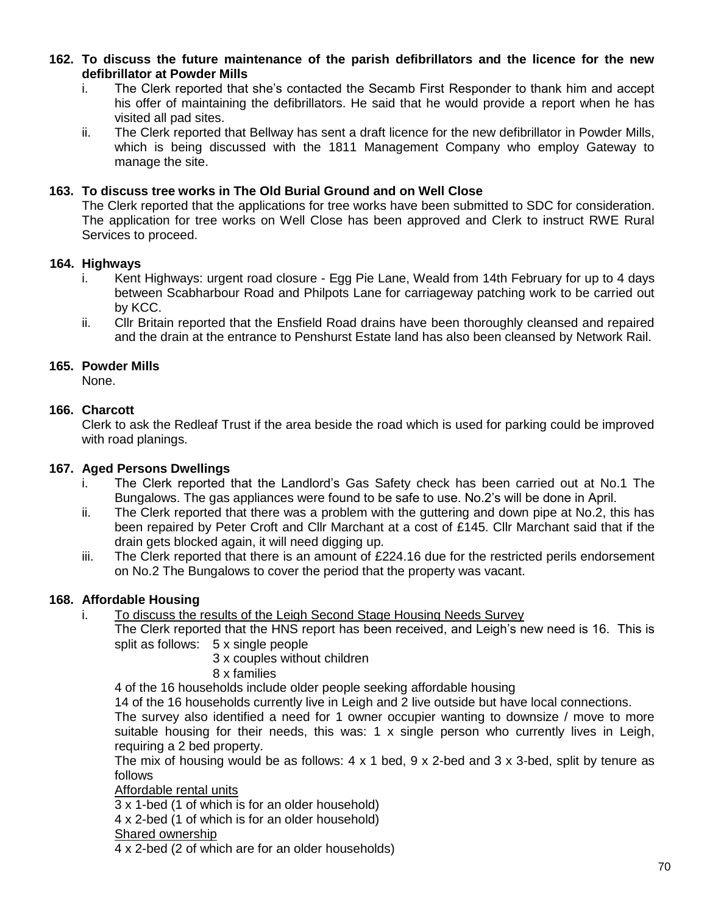**162. To discuss the future maintenance of the parish defibrillators and the licence for the new defibrillator at Powder Mills**

- i. The Clerk reported that she's contacted the Secamb First Responder to thank him and accept his offer of maintaining the defibrillators. He said that he would provide a report when he has visited all pad sites.
- ii. The Clerk reported that Bellway has sent a draft licence for the new defibrillator in Powder Mills, which is being discussed with the 1811 Management Company who employ Gateway to manage the site.

#### **163. To discuss tree works in The Old Burial Ground and on Well Close**

The Clerk reported that the applications for tree works have been submitted to SDC for consideration. The application for tree works on Well Close has been approved and Clerk to instruct RWE Rural Services to proceed.

#### **164. Highways**

- i. Kent Highways: urgent road closure Egg Pie Lane, Weald from 14th February for up to 4 days between Scabharbour Road and Philpots Lane for carriageway patching work to be carried out by KCC.
- ii. Cllr Britain reported that the Ensfield Road drains have been thoroughly cleansed and repaired and the drain at the entrance to Penshurst Estate land has also been cleansed by Network Rail.

#### **165. Powder Mills**

None.

#### **166. Charcott**

Clerk to ask the Redleaf Trust if the area beside the road which is used for parking could be improved with road planings.

#### **167. Aged Persons Dwellings**

- i. The Clerk reported that the Landlord's Gas Safety check has been carried out at No.1 The Bungalows. The gas appliances were found to be safe to use. No.2's will be done in April.
- ii. The Clerk reported that there was a problem with the guttering and down pipe at No.2, this has been repaired by Peter Croft and Cllr Marchant at a cost of £145. Cllr Marchant said that if the drain gets blocked again, it will need digging up.
- iii. The Clerk reported that there is an amount of  $£224.16$  due for the restricted perils endorsement on No.2 The Bungalows to cover the period that the property was vacant.

#### **168. Affordable Housing**

i. To discuss the results of the Leigh Second Stage Housing Needs Survey

The Clerk reported that the HNS report has been received, and Leigh's new need is 16. This is split as follows: 5 x single people

3 x couples without children

#### 8 x families

4 of the 16 households include older people seeking affordable housing

14 of the 16 households currently live in Leigh and 2 live outside but have local connections.

The survey also identified a need for 1 owner occupier wanting to downsize / move to more suitable housing for their needs, this was:  $1 \times$  single person who currently lives in Leigh, requiring a 2 bed property.

The mix of housing would be as follows: 4 x 1 bed, 9 x 2-bed and 3 x 3-bed, split by tenure as follows

Affordable rental units

3 x 1-bed (1 of which is for an older household)

4 x 2-bed (1 of which is for an older household)

#### Shared ownership

4 x 2-bed (2 of which are for an older households)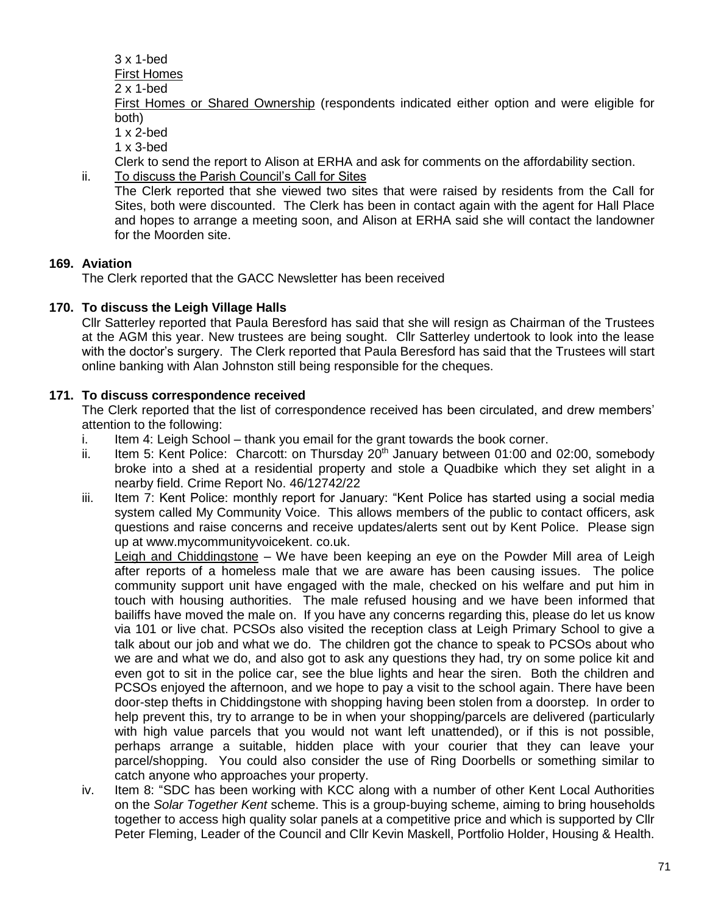3 x 1-bed

First Homes

2 x 1-bed

First Homes or Shared Ownership (respondents indicated either option and were eligible for both)

1 x 2-bed

 $1 \times 3$ -bed

Clerk to send the report to Alison at ERHA and ask for comments on the affordability section.

ii. To discuss the Parish Council's Call for Sites The Clerk reported that she viewed two sites that were raised by residents from the Call for Sites, both were discounted. The Clerk has been in contact again with the agent for Hall Place and hopes to arrange a meeting soon, and Alison at ERHA said she will contact the landowner for the Moorden site.

# **169. Aviation**

The Clerk reported that the GACC Newsletter has been received

# **170. To discuss the Leigh Village Halls**

Cllr Satterley reported that Paula Beresford has said that she will resign as Chairman of the Trustees at the AGM this year. New trustees are being sought. Cllr Satterley undertook to look into the lease with the doctor's surgery. The Clerk reported that Paula Beresford has said that the Trustees will start online banking with Alan Johnston still being responsible for the cheques.

## **171. To discuss correspondence received**

The Clerk reported that the list of correspondence received has been circulated, and drew members' attention to the following:

- i. Item 4: Leigh School thank you email for the grant towards the book corner.
- ii. Item 5: Kent Police: Charcott: on Thursday  $20<sup>th</sup>$  January between 01:00 and 02:00, somebody broke into a shed at a residential property and stole a Quadbike which they set alight in a nearby field. Crime Report No. 46/12742/22
- iii. Item 7: Kent Police: monthly report for January: "Kent Police has started using a social media system called My Community Voice. This allows members of the public to contact officers, ask questions and raise concerns and receive updates/alerts sent out by Kent Police. Please sign up at www.mycommunityvoicekent. co.uk.

Leigh and Chiddingstone – We have been keeping an eye on the Powder Mill area of Leigh after reports of a homeless male that we are aware has been causing issues. The police community support unit have engaged with the male, checked on his welfare and put him in touch with housing authorities. The male refused housing and we have been informed that bailiffs have moved the male on. If you have any concerns regarding this, please do let us know via 101 or live chat. PCSOs also visited the reception class at Leigh Primary School to give a talk about our job and what we do. The children got the chance to speak to PCSOs about who we are and what we do, and also got to ask any questions they had, try on some police kit and even got to sit in the police car, see the blue lights and hear the siren. Both the children and PCSOs enjoyed the afternoon, and we hope to pay a visit to the school again. There have been door-step thefts in Chiddingstone with shopping having been stolen from a doorstep. In order to help prevent this, try to arrange to be in when your shopping/parcels are delivered (particularly with high value parcels that you would not want left unattended), or if this is not possible, perhaps arrange a suitable, hidden place with your courier that they can leave your parcel/shopping. You could also consider the use of Ring Doorbells or something similar to catch anyone who approaches your property.

iv. Item 8: "SDC has been working with KCC along with a number of other Kent Local Authorities on the *Solar Together Kent* scheme. This is a group-buying scheme, aiming to bring households together to access high quality solar panels at a competitive price and which is supported by Cllr Peter Fleming, Leader of the Council and Cllr Kevin Maskell, Portfolio Holder, Housing & Health.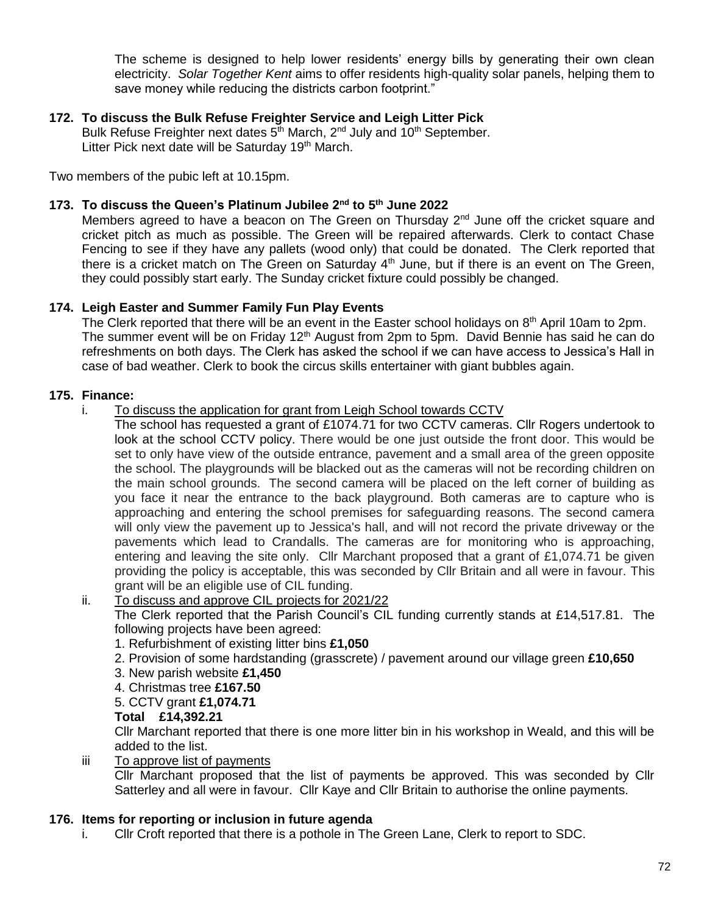The scheme is designed to help lower residents' energy bills by generating their own clean electricity. *Solar Together Kent* aims to offer residents high-quality solar panels, helping them to save money while reducing the districts carbon footprint."

# **172. To discuss the Bulk Refuse Freighter Service and Leigh Litter Pick**

Bulk Refuse Freighter next dates 5<sup>th</sup> March, 2<sup>nd</sup> July and 10<sup>th</sup> September. Litter Pick next date will be Saturday 19<sup>th</sup> March.

Two members of the pubic left at 10.15pm.

#### **173. To discuss the Queen's Platinum Jubilee 2nd to 5th June 2022**

Members agreed to have a beacon on The Green on Thursday 2<sup>nd</sup> June off the cricket square and cricket pitch as much as possible. The Green will be repaired afterwards. Clerk to contact Chase Fencing to see if they have any pallets (wood only) that could be donated. The Clerk reported that there is a cricket match on The Green on Saturday  $4<sup>th</sup>$  June, but if there is an event on The Green, they could possibly start early. The Sunday cricket fixture could possibly be changed.

#### **174. Leigh Easter and Summer Family Fun Play Events**

The Clerk reported that there will be an event in the Easter school holidays on 8<sup>th</sup> April 10am to 2pm. The summer event will be on Friday 12<sup>th</sup> August from 2pm to 5pm. David Bennie has said he can do refreshments on both days. The Clerk has asked the school if we can have access to Jessica's Hall in case of bad weather. Clerk to book the circus skills entertainer with giant bubbles again.

#### **175. Finance:**

- i. To discuss the application for grant from Leigh School towards CCTV
	- The school has requested a grant of £1074.71 for two CCTV cameras. Cllr Rogers undertook to look at the school CCTV policy. There would be one just outside the front door. This would be set to only have view of the outside entrance, pavement and a small area of the green opposite the school. The playgrounds will be blacked out as the cameras will not be recording children on the main school grounds. The second camera will be placed on the left corner of building as you face it near the entrance to the back playground. Both cameras are to capture who is approaching and entering the school premises for safeguarding reasons. The second camera will only view the pavement up to Jessica's hall, and will not record the private driveway or the pavements which lead to Crandalls. The cameras are for monitoring who is approaching, entering and leaving the site only. Cllr Marchant proposed that a grant of £1,074.71 be given providing the policy is acceptable, this was seconded by Cllr Britain and all were in favour. This grant will be an eligible use of CIL funding.

### ii. To discuss and approve CIL projects for 2021/22

The Clerk reported that the Parish Council's CIL funding currently stands at £14,517.81. The following projects have been agreed:

- 1. Refurbishment of existing litter bins **£1,050**
- 2. Provision of some hardstanding (grasscrete) / pavement around our village green **£10,650**
- 3. New parish website **£1,450**
- 4. Christmas tree **£167.50**
- 5. CCTV grant **£1,074.71**

#### **Total £14,392.21**

Cllr Marchant reported that there is one more litter bin in his workshop in Weald, and this will be added to the list.

iii To approve list of payments

Cllr Marchant proposed that the list of payments be approved. This was seconded by Cllr Satterley and all were in favour. Cllr Kaye and Cllr Britain to authorise the online payments.

#### **176. Items for reporting or inclusion in future agenda**

i. Cllr Croft reported that there is a pothole in The Green Lane, Clerk to report to SDC.